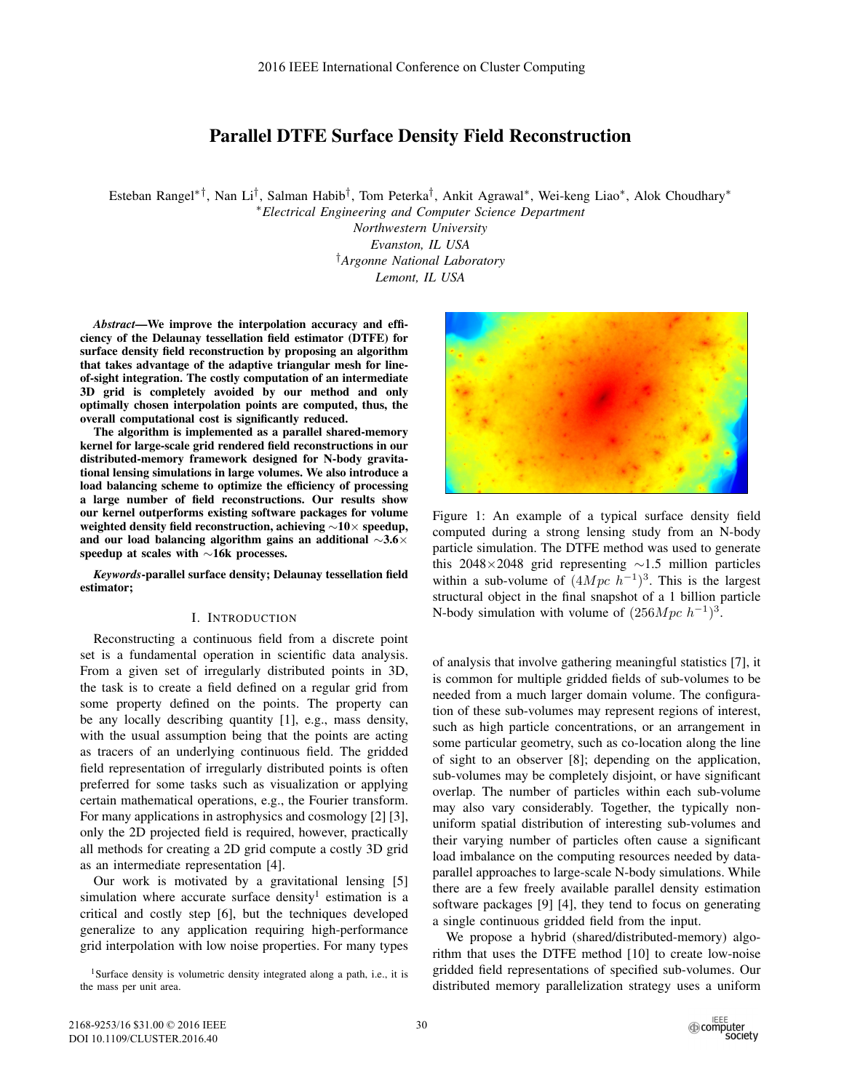# Parallel DTFE Surface Density Field Reconstruction

Esteban Rangel∗†, Nan Li†, Salman Habib†, Tom Peterka†, Ankit Agrawal∗, Wei-keng Liao∗, Alok Choudhary∗

∗*Electrical Engineering and Computer Science Department*

*Northwestern University Evanston, IL USA* †*Argonne National Laboratory Lemont, IL USA*

*Abstract*—We improve the interpolation accuracy and efficiency of the Delaunay tessellation field estimator (DTFE) for surface density field reconstruction by proposing an algorithm that takes advantage of the adaptive triangular mesh for lineof-sight integration. The costly computation of an intermediate 3D grid is completely avoided by our method and only optimally chosen interpolation points are computed, thus, the overall computational cost is significantly reduced.

The algorithm is implemented as a parallel shared-memory kernel for large-scale grid rendered field reconstructions in our distributed-memory framework designed for N-body gravitational lensing simulations in large volumes. We also introduce a load balancing scheme to optimize the efficiency of processing a large number of field reconstructions. Our results show our kernel outperforms existing software packages for volume weighted density field reconstruction, achieving ∼10× speedup, and our load balancing algorithm gains an additional ∼3.6× speedup at scales with ∼16k processes.

*Keywords*-parallel surface density; Delaunay tessellation field estimator;

#### I. INTRODUCTION

Reconstructing a continuous field from a discrete point set is a fundamental operation in scientific data analysis. From a given set of irregularly distributed points in 3D, the task is to create a field defined on a regular grid from some property defined on the points. The property can be any locally describing quantity [1], e.g., mass density, with the usual assumption being that the points are acting as tracers of an underlying continuous field. The gridded field representation of irregularly distributed points is often preferred for some tasks such as visualization or applying certain mathematical operations, e.g., the Fourier transform. For many applications in astrophysics and cosmology [2] [3], only the 2D projected field is required, however, practically all methods for creating a 2D grid compute a costly 3D grid as an intermediate representation [4].

Our work is motivated by a gravitational lensing [5] simulation where accurate surface density<sup>1</sup> estimation is a critical and costly step [6], but the techniques developed generalize to any application requiring high-performance grid interpolation with low noise properties. For many types



Figure 1: An example of a typical surface density field computed during a strong lensing study from an N-body particle simulation. The DTFE method was used to generate this 2048×2048 grid representing  $\sim$ 1.5 million particles within a sub-volume of  $(4Mpc h^{-1})^3$ . This is the largest structural object in the final snapshot of a 1 billion particle N-body simulation with volume of  $(256Mpc h^{-1})^3$ .

of analysis that involve gathering meaningful statistics [7], it is common for multiple gridded fields of sub-volumes to be needed from a much larger domain volume. The configuration of these sub-volumes may represent regions of interest, such as high particle concentrations, or an arrangement in some particular geometry, such as co-location along the line of sight to an observer [8]; depending on the application, sub-volumes may be completely disjoint, or have significant overlap. The number of particles within each sub-volume may also vary considerably. Together, the typically nonuniform spatial distribution of interesting sub-volumes and their varying number of particles often cause a significant load imbalance on the computing resources needed by dataparallel approaches to large-scale N-body simulations. While there are a few freely available parallel density estimation software packages [9] [4], they tend to focus on generating a single continuous gridded field from the input.

We propose a hybrid (shared/distributed-memory) algorithm that uses the DTFE method [10] to create low-noise gridded field representations of specified sub-volumes. Our distributed memory parallelization strategy uses a uniform

<sup>&</sup>lt;sup>1</sup>Surface density is volumetric density integrated along a path, i.e., it is the mass per unit area.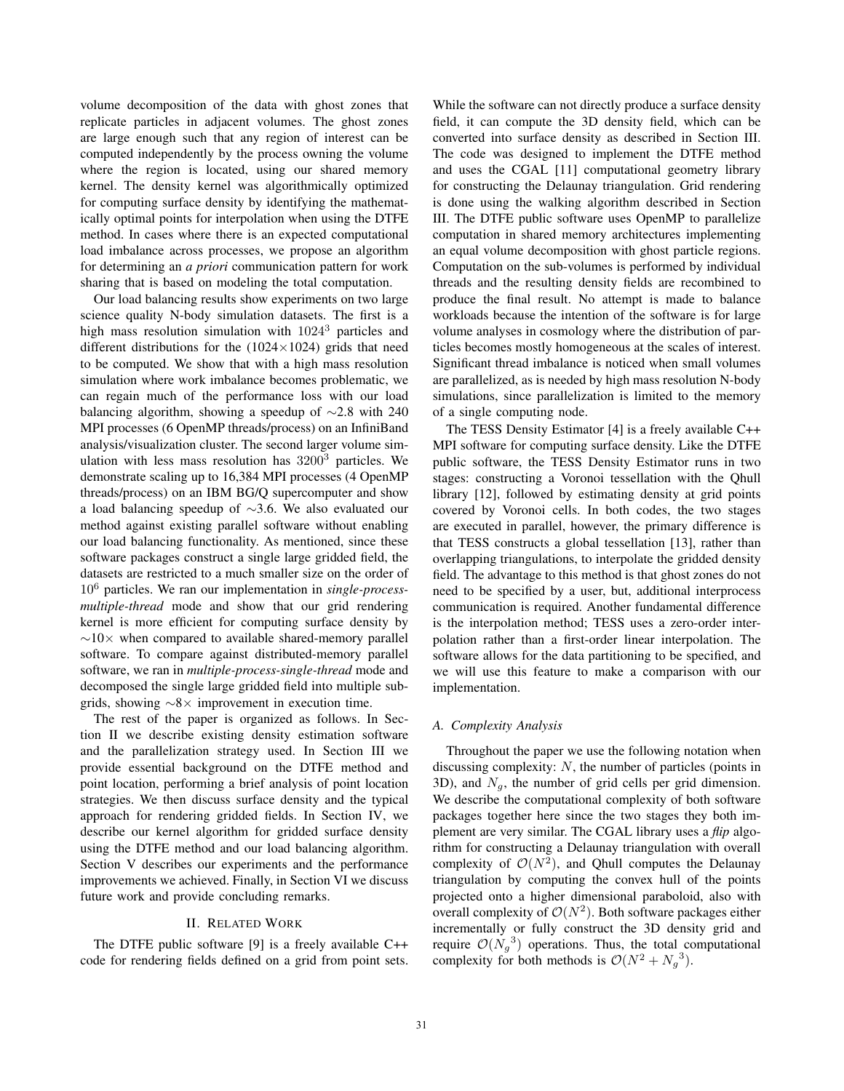volume decomposition of the data with ghost zones that replicate particles in adjacent volumes. The ghost zones are large enough such that any region of interest can be computed independently by the process owning the volume where the region is located, using our shared memory kernel. The density kernel was algorithmically optimized for computing surface density by identifying the mathematically optimal points for interpolation when using the DTFE method. In cases where there is an expected computational load imbalance across processes, we propose an algorithm for determining an *a priori* communication pattern for work sharing that is based on modeling the total computation.

Our load balancing results show experiments on two large science quality N-body simulation datasets. The first is a high mass resolution simulation with  $1024<sup>3</sup>$  particles and different distributions for the  $(1024\times1024)$  grids that need to be computed. We show that with a high mass resolution simulation where work imbalance becomes problematic, we can regain much of the performance loss with our load balancing algorithm, showing a speedup of ∼2.8 with 240 MPI processes (6 OpenMP threads/process) on an InfiniBand analysis/visualization cluster. The second larger volume simulation with less mass resolution has  $3200<sup>3</sup>$  particles. We demonstrate scaling up to 16,384 MPI processes (4 OpenMP threads/process) on an IBM BG/Q supercomputer and show a load balancing speedup of ∼3.6. We also evaluated our method against existing parallel software without enabling our load balancing functionality. As mentioned, since these software packages construct a single large gridded field, the datasets are restricted to a much smaller size on the order of 10<sup>6</sup> particles. We ran our implementation in *single-processmultiple-thread* mode and show that our grid rendering kernel is more efficient for computing surface density by  $\sim$ 10× when compared to available shared-memory parallel software. To compare against distributed-memory parallel software, we ran in *multiple-process-single-thread* mode and decomposed the single large gridded field into multiple subgrids, showing ∼8× improvement in execution time.

The rest of the paper is organized as follows. In Section II we describe existing density estimation software and the parallelization strategy used. In Section III we provide essential background on the DTFE method and point location, performing a brief analysis of point location strategies. We then discuss surface density and the typical approach for rendering gridded fields. In Section IV, we describe our kernel algorithm for gridded surface density using the DTFE method and our load balancing algorithm. Section V describes our experiments and the performance improvements we achieved. Finally, in Section VI we discuss future work and provide concluding remarks.

#### II. RELATED WORK

The DTFE public software [9] is a freely available C++ code for rendering fields defined on a grid from point sets. While the software can not directly produce a surface density field, it can compute the 3D density field, which can be converted into surface density as described in Section III. The code was designed to implement the DTFE method and uses the CGAL [11] computational geometry library for constructing the Delaunay triangulation. Grid rendering is done using the walking algorithm described in Section III. The DTFE public software uses OpenMP to parallelize computation in shared memory architectures implementing an equal volume decomposition with ghost particle regions. Computation on the sub-volumes is performed by individual threads and the resulting density fields are recombined to produce the final result. No attempt is made to balance workloads because the intention of the software is for large volume analyses in cosmology where the distribution of particles becomes mostly homogeneous at the scales of interest. Significant thread imbalance is noticed when small volumes are parallelized, as is needed by high mass resolution N-body simulations, since parallelization is limited to the memory of a single computing node.

The TESS Density Estimator [4] is a freely available C++ MPI software for computing surface density. Like the DTFE public software, the TESS Density Estimator runs in two stages: constructing a Voronoi tessellation with the Qhull library [12], followed by estimating density at grid points covered by Voronoi cells. In both codes, the two stages are executed in parallel, however, the primary difference is that TESS constructs a global tessellation [13], rather than overlapping triangulations, to interpolate the gridded density field. The advantage to this method is that ghost zones do not need to be specified by a user, but, additional interprocess communication is required. Another fundamental difference is the interpolation method; TESS uses a zero-order interpolation rather than a first-order linear interpolation. The software allows for the data partitioning to be specified, and we will use this feature to make a comparison with our implementation.

#### *A. Complexity Analysis*

Throughout the paper we use the following notation when discussing complexity:  $N$ , the number of particles (points in 3D), and  $N_q$ , the number of grid cells per grid dimension. We describe the computational complexity of both software packages together here since the two stages they both implement are very similar. The CGAL library uses a *flip* algorithm for constructing a Delaunay triangulation with overall complexity of  $\mathcal{O}(N^2)$ , and Qhull computes the Delaunay triangulation by computing the convex hull of the points projected onto a higher dimensional paraboloid, also with overall complexity of  $\mathcal{O}(N^2)$ . Both software packages either incrementally or fully construct the 3D density grid and require  $\mathcal{O}(N_g^3)$  operations. Thus, the total computational complexity for both methods is  $O(N^2 + N_g^3)$ .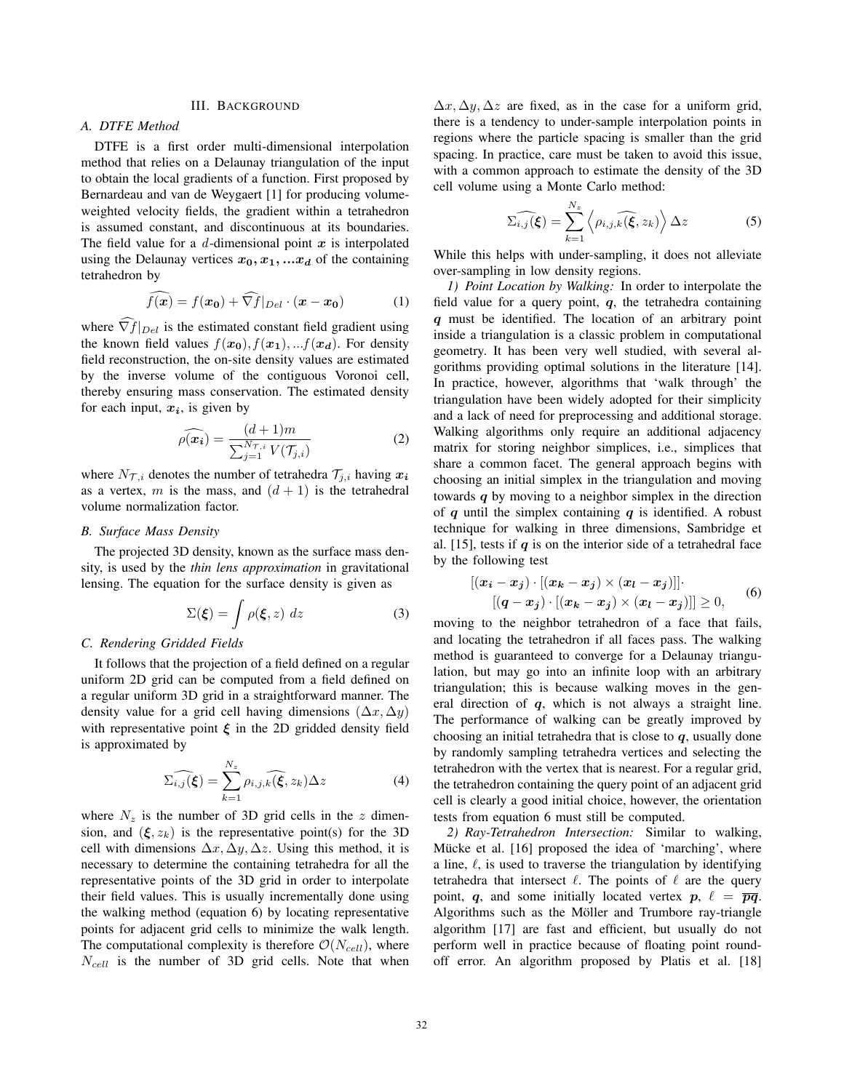## III. BACKGROUND

## *A. DTFE Method*

DTFE is a first order multi-dimensional interpolation method that relies on a Delaunay triangulation of the input to obtain the local gradients of a function. First proposed by Bernardeau and van de Weygaert [1] for producing volumeweighted velocity fields, the gradient within a tetrahedron is assumed constant, and discontinuous at its boundaries. The field value for a d-dimensional point *x* is interpolated using the Delaunay vertices  $x_0, x_1, \ldots, x_d$  of the containing tetrahedron by

$$
\widehat{f(x)} = f(x_0) + \widehat{\nabla f}|_{Del} \cdot (x - x_0)
$$
 (1)

where  $\nabla f|_{Del}$  is the estimated constant field gradient using the known field values  $f(\mathbf{x_0}), f(\mathbf{x_1}), \dots, f(\mathbf{x_d})$ . For density field reconstruction, the on-site density values are estimated by the inverse volume of the contiguous Voronoi cell, thereby ensuring mass conservation. The estimated density for each input,  $x_i$ , is given by

$$
\widehat{\rho(\boldsymbol{x}_i)} = \frac{(d+1)m}{\sum_{j=1}^{N_{\mathcal{T},i}} V(\mathcal{T}_{j,i})}
$$
(2)

where  $N_{\mathcal{T},i}$  denotes the number of tetrahedra  $\mathcal{T}_{i,i}$  having  $\mathbf{x}_i$ as a vertex, m is the mass, and  $(d + 1)$  is the tetrahedral volume normalization factor.

## *B. Surface Mass Density*

The projected 3D density, known as the surface mass density, is used by the *thin lens approximation* in gravitational lensing. The equation for the surface density is given as

$$
\Sigma(\xi) = \int \rho(\xi, z) \ dz \tag{3}
$$

#### *C. Rendering Gridded Fields*

It follows that the projection of a field defined on a regular uniform 2D grid can be computed from a field defined on a regular uniform 3D grid in a straightforward manner. The density value for a grid cell having dimensions  $(\Delta x, \Delta y)$ with representative point  $\xi$  in the 2D gridded density field is approximated by

$$
\widehat{\Sigma_{i,j}(\xi)} = \sum_{k=1}^{N_z} \rho_{i,j,k}(\widehat{\xi}, z_k) \Delta z \tag{4}
$$

where  $N_z$  is the number of 3D grid cells in the z dimension, and  $(\xi, z_k)$  is the representative point(s) for the 3D cell with dimensions  $\Delta x, \Delta y, \Delta z$ . Using this method, it is necessary to determine the containing tetrahedra for all the representative points of the 3D grid in order to interpolate their field values. This is usually incrementally done using the walking method (equation 6) by locating representative points for adjacent grid cells to minimize the walk length. The computational complexity is therefore  $\mathcal{O}(N_{cell})$ , where  $N_{cell}$  is the number of 3D grid cells. Note that when  $\Delta x, \Delta y, \Delta z$  are fixed, as in the case for a uniform grid, there is a tendency to under-sample interpolation points in regions where the particle spacing is smaller than the grid spacing. In practice, care must be taken to avoid this issue, with a common approach to estimate the density of the 3D cell volume using a Monte Carlo method:

$$
\widehat{\Sigma_{i,j}(\xi)} = \sum_{k=1}^{N_z} \left\langle \rho_{i,j,k}(\widehat{\xi}, z_k) \right\rangle \Delta z \tag{5}
$$

While this helps with under-sampling, it does not alleviate over-sampling in low density regions.

*1) Point Location by Walking:* In order to interpolate the field value for a query point, *q*, the tetrahedra containing *q* must be identified. The location of an arbitrary point inside a triangulation is a classic problem in computational geometry. It has been very well studied, with several algorithms providing optimal solutions in the literature [14]. In practice, however, algorithms that 'walk through' the triangulation have been widely adopted for their simplicity and a lack of need for preprocessing and additional storage. Walking algorithms only require an additional adjacency matrix for storing neighbor simplices, i.e., simplices that share a common facet. The general approach begins with choosing an initial simplex in the triangulation and moving towards *q* by moving to a neighbor simplex in the direction of *q* until the simplex containing *q* is identified. A robust technique for walking in three dimensions, Sambridge et al. [15], tests if  $q$  is on the interior side of a tetrahedral face by the following test

$$
\begin{aligned} [(x_i - x_j) \cdot [(x_k - x_j) \times (x_l - x_j)]] \cdot [(q - x_j) \cdot [(x_k - x_j) \times (x_l - x_j)]] \geq 0, \end{aligned} \tag{6}
$$

moving to the neighbor tetrahedron of a face that fails, and locating the tetrahedron if all faces pass. The walking method is guaranteed to converge for a Delaunay triangulation, but may go into an infinite loop with an arbitrary triangulation; this is because walking moves in the general direction of *q*, which is not always a straight line. The performance of walking can be greatly improved by choosing an initial tetrahedra that is close to *q*, usually done by randomly sampling tetrahedra vertices and selecting the tetrahedron with the vertex that is nearest. For a regular grid, the tetrahedron containing the query point of an adjacent grid cell is clearly a good initial choice, however, the orientation tests from equation 6 must still be computed.

*2) Ray-Tetrahedron Intersection:* Similar to walking, Mücke et al. [16] proposed the idea of 'marching', where a line,  $\ell$ , is used to traverse the triangulation by identifying tetrahedra that intersect  $\ell$ . The points of  $\ell$  are the query point, *q*, and some initially located vertex *p*,  $\ell = \overline{pq}$ . Algorithms such as the Möller and Trumbore ray-triangle algorithm [17] are fast and efficient, but usually do not perform well in practice because of floating point roundoff error. An algorithm proposed by Platis et al. [18]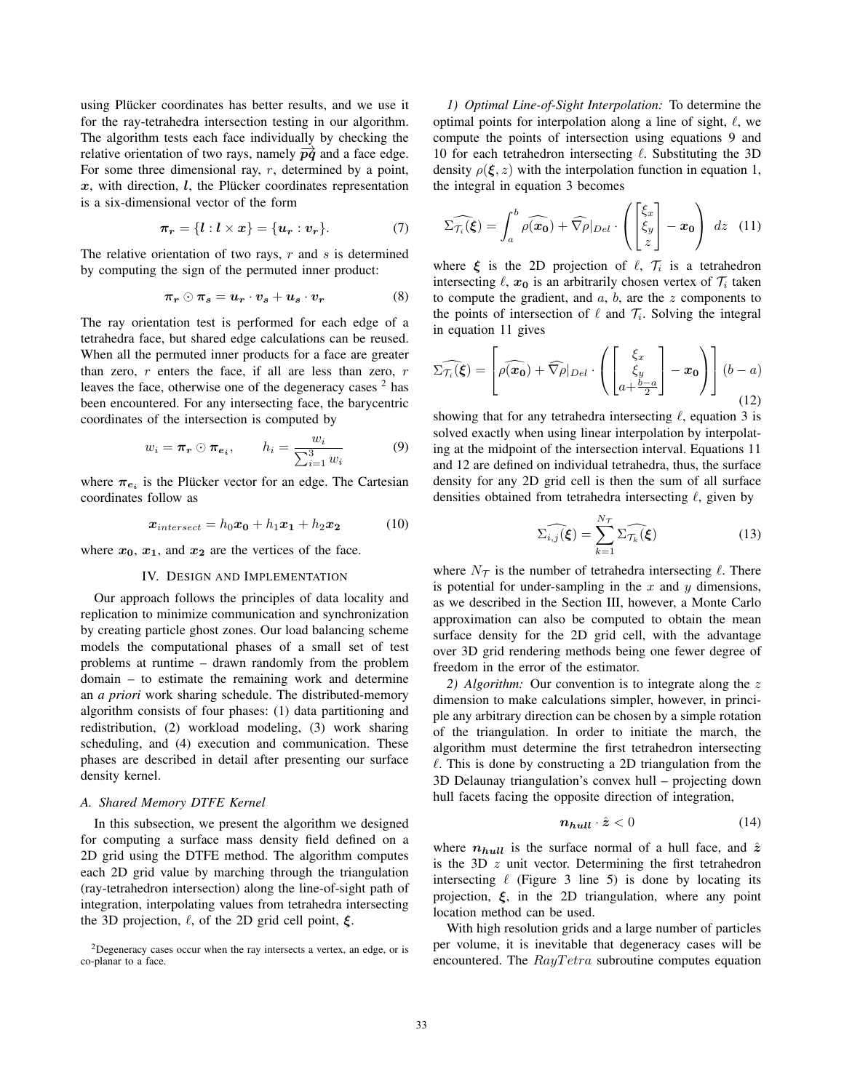using Plücker coordinates has better results, and we use it for the ray-tetrahedra intersection testing in our algorithm. The algorithm tests each face individually by checking the relative orientation of two rays, namely  $\overrightarrow{pq}$  and a face edge. For some three dimensional ray,  $r$ , determined by a point,  $x$ , with direction,  $l$ , the Plücker coordinates representation is a six-dimensional vector of the form

$$
\pi_r = \{l : l \times x\} = \{u_r : v_r\}.
$$
 (7)

The relative orientation of two rays,  $r$  and  $s$  is determined by computing the sign of the permuted inner product:

$$
\pi_r \odot \pi_s = u_r \cdot v_s + u_s \cdot v_r \tag{8}
$$

The ray orientation test is performed for each edge of a tetrahedra face, but shared edge calculations can be reused. When all the permuted inner products for a face are greater than zero,  $r$  enters the face, if all are less than zero,  $r$ leaves the face, otherwise one of the degeneracy cases  $2$  has been encountered. For any intersecting face, the barycentric coordinates of the intersection is computed by

$$
w_i = \boldsymbol{\pi_r} \odot \boldsymbol{\pi_{e_i}}, \qquad h_i = \frac{w_i}{\sum_{i=1}^{3} w_i} \tag{9}
$$

where  $\pi_{e_i}$  is the Plucker vector for an edge. The Cartesian coordinates follow as

$$
x_{intersect} = h_0 x_0 + h_1 x_1 + h_2 x_2 \tag{10}
$$

where  $x_0$ ,  $x_1$ , and  $x_2$  are the vertices of the face.

#### IV. DESIGN AND IMPLEMENTATION

Our approach follows the principles of data locality and replication to minimize communication and synchronization by creating particle ghost zones. Our load balancing scheme models the computational phases of a small set of test problems at runtime – drawn randomly from the problem domain – to estimate the remaining work and determine an *a priori* work sharing schedule. The distributed-memory algorithm consists of four phases: (1) data partitioning and redistribution, (2) workload modeling, (3) work sharing scheduling, and (4) execution and communication. These phases are described in detail after presenting our surface density kernel.

### *A. Shared Memory DTFE Kernel*

In this subsection, we present the algorithm we designed for computing a surface mass density field defined on a 2D grid using the DTFE method. The algorithm computes each 2D grid value by marching through the triangulation (ray-tetrahedron intersection) along the line-of-sight path of integration, interpolating values from tetrahedra intersecting the 3D projection,  $\ell$ , of the 2D grid cell point,  $\xi$ .

*1) Optimal Line-of-Sight Interpolation:* To determine the optimal points for interpolation along a line of sight,  $\ell$ , we compute the points of intersection using equations 9 and 10 for each tetrahedron intersecting  $\ell$ . Substituting the 3D density  $\rho(\xi, z)$  with the interpolation function in equation 1, the integral in equation 3 becomes

$$
\widehat{\Sigma_{\mathcal{T}_i}(\xi)} = \int_a^b \widehat{\rho(\boldsymbol{x_0})} + \widehat{\nabla \rho}|_{Del} \cdot \left( \begin{bmatrix} \xi_x \\ \xi_y \\ z \end{bmatrix} - \boldsymbol{x_0} \right) dz \quad (11)
$$

where  $\xi$  is the 2D projection of  $\ell$ ,  $\mathcal{T}_i$  is a tetrahedron intersecting  $\ell$ ,  $x_0$  is an arbitrarily chosen vertex of  $\mathcal{T}_i$  taken to compute the gradient, and  $a, b$ , are the z components to the points of intersection of  $\ell$  and  $\mathcal{T}_i$ . Solving the integral in equation 11 gives

$$
\widehat{\Sigma_{\mathcal{T}_i}(\xi)} = \left[\widehat{\rho(x_0)} + \widehat{\nabla \rho}|_{Del} \cdot \left( \begin{bmatrix} \xi_x \\ \xi_y \\ a + \frac{b-a}{2} \end{bmatrix} - x_0 \right) \right] (b-a)
$$
\n(12)

showing that for any tetrahedra intersecting  $\ell$ , equation 3 is solved exactly when using linear interpolation by interpolating at the midpoint of the intersection interval. Equations 11 and 12 are defined on individual tetrahedra, thus, the surface density for any 2D grid cell is then the sum of all surface densities obtained from tetrahedra intersecting  $\ell$ , given by

$$
\widehat{\Sigma_{i,j}(\xi)} = \sum_{k=1}^{N_{\mathcal{T}}} \widehat{\Sigma_{\mathcal{T}_k}(\xi)} \tag{13}
$$

where  $N_{\mathcal{T}}$  is the number of tetrahedra intersecting  $\ell$ . There is potential for under-sampling in the  $x$  and  $y$  dimensions, as we described in the Section III, however, a Monte Carlo approximation can also be computed to obtain the mean surface density for the 2D grid cell, with the advantage over 3D grid rendering methods being one fewer degree of freedom in the error of the estimator.

*2) Algorithm:* Our convention is to integrate along the z dimension to make calculations simpler, however, in principle any arbitrary direction can be chosen by a simple rotation of the triangulation. In order to initiate the march, the algorithm must determine the first tetrahedron intersecting  $\ell$ . This is done by constructing a 2D triangulation from the 3D Delaunay triangulation's convex hull – projecting down hull facets facing the opposite direction of integration,

$$
n_{hull} \cdot \hat{z} < 0 \tag{14}
$$

where  $n_{hull}$  is the surface normal of a hull face, and  $\hat{z}$ is the 3D  $z$  unit vector. Determining the first tetrahedron intersecting  $\ell$  (Figure 3 line 5) is done by locating its projection, *ξ*, in the 2D triangulation, where any point location method can be used.

With high resolution grids and a large number of particles per volume, it is inevitable that degeneracy cases will be encountered. The  $RayTetra$  subroutine computes equation

<sup>&</sup>lt;sup>2</sup>Degeneracy cases occur when the ray intersects a vertex, an edge, or is co-planar to a face.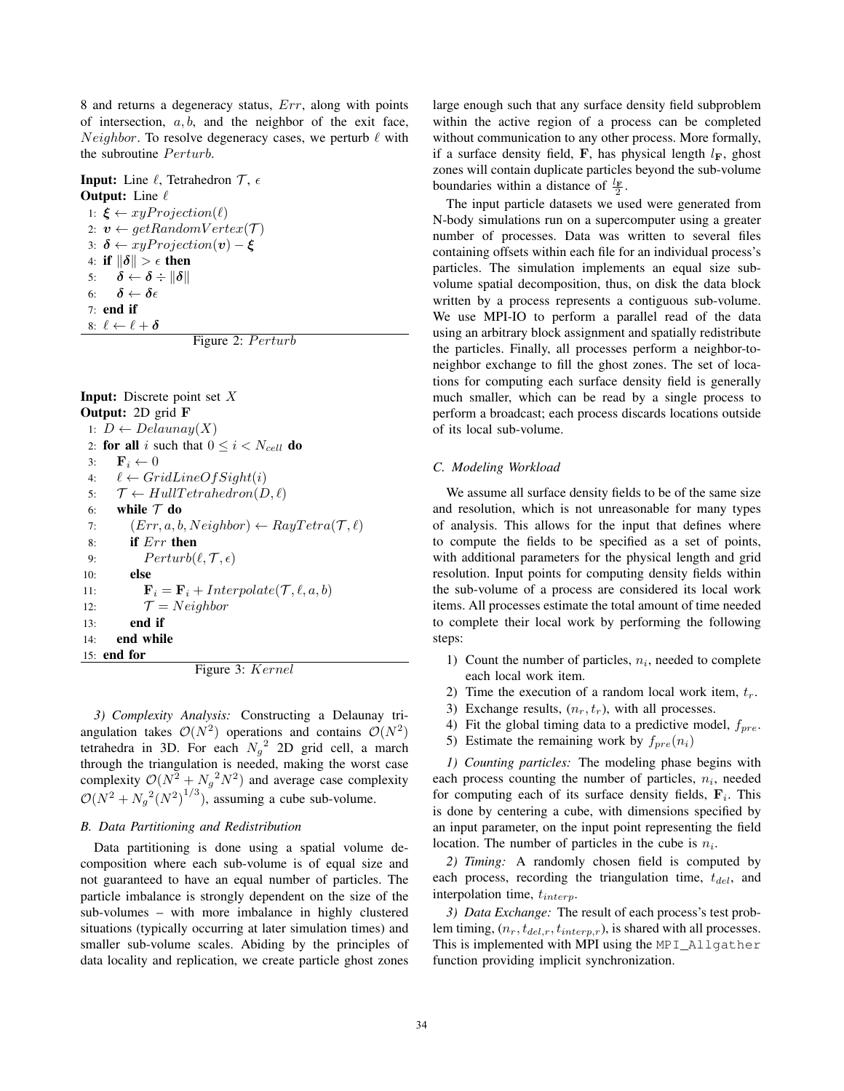8 and returns a degeneracy status, Err, along with points of intersection,  $a, b$ , and the neighbor of the exit face, *Neighbor.* To resolve degeneracy cases, we perturb  $\ell$  with the subroutine Perturb.

**Input:** Line  $\ell$ , Tetrahedron  $\mathcal{T}$ ,  $\epsilon$ **Output:** Line  $\ell$ 1:  $\xi \leftarrow xyProjection(\ell)$ 2:  $v \leftarrow getRandomVertex(\mathcal{T})$ 3:  $\delta \leftarrow xyProjection(v) - \xi$ 4: if  $\|\delta\| > \epsilon$  then<br>5:  $\delta \leftarrow \delta \div \|\delta\|$ 5:  $\delta \leftarrow \delta \div \|\delta\|$ <br>6:  $\delta \leftarrow \delta \epsilon$  $\boldsymbol{\delta}\leftarrow\boldsymbol{\delta}\epsilon$ 7: end if 8:  $\ell \leftarrow \ell + \delta$ 

Figure 2: P erturb

**Input:** Discrete point set  $X$ Output: 2D grid **F** 1:  $D \leftarrow Delaunay(X)$ 2: **for all** i such that  $0 \le i < N_{cell}$  **do**<br>3: **F**<sub>i</sub>  $\leftarrow 0$ 3: **F**<sub>i</sub>  $\leftarrow 0$ <br>4:  $\ell \leftarrow Gr$ 4:  $\ell \leftarrow GridLineOfSignt(i)$ <br>5:  $\mathcal{T} \leftarrow HullTetrahedron(L)$  $\mathcal{T} \leftarrow HullTetrahedron(D, \ell)$ 6: while  $\mathcal{T}$  do<br>7:  $(Err, a, b)$ 7:  $(Err, a, b, Neighbour) \leftarrow RayTetra(\mathcal{T}, \ell)$ <br>8: **if**  $Err$  **then** if  $Err$  then 9:  $Perturb(\ell, \mathcal{T}, \epsilon)$ <br>10: **else** else 11: **F**<sub>i</sub> = **F**<sub>i</sub> + Interpolate( $\mathcal{T}, \ell, a, b$ )<br>12:  $\mathcal{T} = Neiabbor$ 12:  $\mathcal{T} = Neighbour$ <br>13: **end if** end if 14: end while 15: end for Figure 3: Kernel

*3) Complexity Analysis:* Constructing a Delaunay triangulation takes  $\mathcal{O}(N^2)$  operations and contains  $\mathcal{O}(N^2)$ tetrahedra in 3D. For each  $N_g^2$  2D grid cell, a march through the triangulation is needed, making the worst case complexity  $\mathcal{O}(N^2 + N_g^2 N^2)$  and average case complexity  $\mathcal{O}(N^2 + N_g^2(N^2)^{1/3})$ , assuming a cube sub-volume.

#### *B. Data Partitioning and Redistribution*

Data partitioning is done using a spatial volume decomposition where each sub-volume is of equal size and not guaranteed to have an equal number of particles. The particle imbalance is strongly dependent on the size of the sub-volumes – with more imbalance in highly clustered situations (typically occurring at later simulation times) and smaller sub-volume scales. Abiding by the principles of data locality and replication, we create particle ghost zones large enough such that any surface density field subproblem within the active region of a process can be completed without communication to any other process. More formally, if a surface density field, **F**, has physical length  $l_F$ , ghost zones will contain duplicate particles beyond the sub-volume boundaries within a distance of  $\frac{l_{\text{F}}}{2}$ .

The input particle datasets we used were generated from N-body simulations run on a supercomputer using a greater number of processes. Data was written to several files containing offsets within each file for an individual process's particles. The simulation implements an equal size subvolume spatial decomposition, thus, on disk the data block written by a process represents a contiguous sub-volume. We use MPI-IO to perform a parallel read of the data using an arbitrary block assignment and spatially redistribute the particles. Finally, all processes perform a neighbor-toneighbor exchange to fill the ghost zones. The set of locations for computing each surface density field is generally much smaller, which can be read by a single process to perform a broadcast; each process discards locations outside of its local sub-volume.

#### *C. Modeling Workload*

We assume all surface density fields to be of the same size and resolution, which is not unreasonable for many types of analysis. This allows for the input that defines where to compute the fields to be specified as a set of points, with additional parameters for the physical length and grid resolution. Input points for computing density fields within the sub-volume of a process are considered its local work items. All processes estimate the total amount of time needed to complete their local work by performing the following steps:

- 1) Count the number of particles,  $n_i$ , needed to complete each local work item.
- 2) Time the execution of a random local work item,  $t_r$ .
- 3) Exchange results,  $(n_r, t_r)$ , with all processes.
- 4) Fit the global timing data to a predictive model,  $f_{pre}$ .
- 5) Estimate the remaining work by  $f_{pre}(n_i)$

*1) Counting particles:* The modeling phase begins with each process counting the number of particles,  $n_i$ , needed for computing each of its surface density fields,  $\mathbf{F}_i$ . This is done by centering a cube, with dimensions specified by an input parameter, on the input point representing the field location. The number of particles in the cube is  $n<sub>i</sub>$ .

*2) Timing:* A randomly chosen field is computed by each process, recording the triangulation time,  $t_{del}$ , and interpolation time,  $t_{interp}$ .

*3) Data Exchange:* The result of each process's test problem timing,  $(n_r, t_{del,r}, t_{interp,r})$ , is shared with all processes. This is implemented with MPI using the MPI\_Allgather function providing implicit synchronization.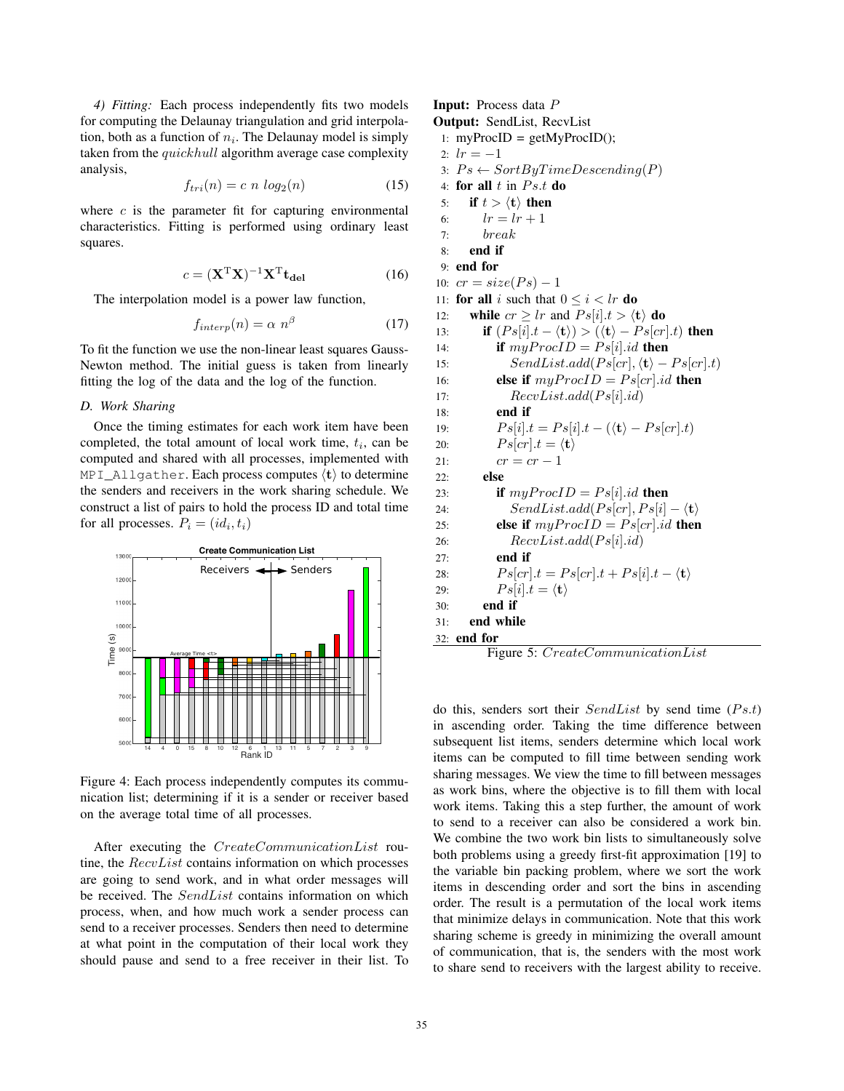*4) Fitting:* Each process independently fits two models for computing the Delaunay triangulation and grid interpolation, both as a function of  $n_i$ . The Delaunay model is simply taken from the quickhull algorithm average case complexity analysis,

$$
f_{tri}(n) = c \ n \ log_2(n) \tag{15}
$$

where  $c$  is the parameter fit for capturing environmental characteristics. Fitting is performed using ordinary least squares.

$$
c = (\mathbf{X}^{\mathrm{T}} \mathbf{X})^{-1} \mathbf{X}^{\mathrm{T}} \mathbf{t}_{\mathrm{del}} \tag{16}
$$

The interpolation model is a power law function,

$$
f_{interp}(n) = \alpha \ n^{\beta} \tag{17}
$$

To fit the function we use the non-linear least squares Gauss-Newton method. The initial guess is taken from linearly fitting the log of the data and the log of the function.

## *D. Work Sharing*

Once the timing estimates for each work item have been completed, the total amount of local work time,  $t_i$ , can be computed and shared with all processes, implemented with MPI\_Allgather. Each process computes  $\langle \mathbf{t} \rangle$  to determine the senders and receivers in the work sharing schedule. We construct a list of pairs to hold the process ID and total time for all processes.  $P_i = (id_i, t_i)$ 



Figure 4: Each process independently computes its communication list; determining if it is a sender or receiver based on the average total time of all processes.

After executing the CreateCommunicationList routine, the RecvList contains information on which processes are going to send work, and in what order messages will be received. The SendList contains information on which process, when, and how much work a sender process can send to a receiver processes. Senders then need to determine at what point in the computation of their local work they should pause and send to a free receiver in their list. To Input: Process data P Output: SendList, RecvList

1:  $myProcID = getMyProcID$ ; 2:  $lr = -1$ 

3:  $Ps \leftarrow SortByTimeDescending(P)$ 

4: for all  $t$  in  $Ps.t$  do 5: **if**  $t > \langle \mathbf{t} \rangle$  then 6:  $lr = lr + 1$ 7: break 8: end if 9: end for 10:  $cr = size(Ps) - 1$ 11: **for all** i such that  $0 \le i < lr$  **do**<br>12: **while**  $cr > lr$  and  $Ps[i].t > (t)$ 12: **while**  $cr \geq lr$  and  $Ps[i].t > \langle t \rangle$  **do** 13: **if**  $(Ps[i].t - \langle \mathbf{t} \rangle) > (\langle \mathbf{t} \rangle - Ps[cr].t)$  then 14: **if**  $myProofD = Ps[i].id$  **then** 15:  $SendList.add(Ps[cr], \langle t \rangle - Ps[cr].t)$ 16: **else if**  $myProcID = Ps[cr].id$  **then** 17:  $RecvList.add(Ps[i].id)$ 18: end if 19:  $Ps[i].t = Ps[i].t - (\langle \mathbf{t} \rangle - Ps[cr].t)$ 20:  $Ps[cr].t = \langle \mathbf{t} \rangle$ 21:  $cr = cr - 1$ <br>22: **else** else 23: **if**  $myProofD = Ps[i].id$  then 24:  $SendList.add(Ps[cr],Ps[i] - \langle t \rangle)$ 25: **else if**  $myProofD = Ps[cr].id$  then 26:  $RecvList.add(Ps[i].id)$ 27: end if 28:  $Ps[cr].t = Ps[cr].t + Ps[i].t - \langle t \rangle$ 29:  $Ps[i].t = \langle \mathbf{t} \rangle$ 30: end if 31: end while 32: end for

Figure 5: CreateCommunicationList

do this, senders sort their  $SendList$  by send time ( $Ps.t$ ) in ascending order. Taking the time difference between subsequent list items, senders determine which local work items can be computed to fill time between sending work sharing messages. We view the time to fill between messages as work bins, where the objective is to fill them with local work items. Taking this a step further, the amount of work to send to a receiver can also be considered a work bin. We combine the two work bin lists to simultaneously solve both problems using a greedy first-fit approximation [19] to the variable bin packing problem, where we sort the work items in descending order and sort the bins in ascending order. The result is a permutation of the local work items that minimize delays in communication. Note that this work sharing scheme is greedy in minimizing the overall amount of communication, that is, the senders with the most work to share send to receivers with the largest ability to receive.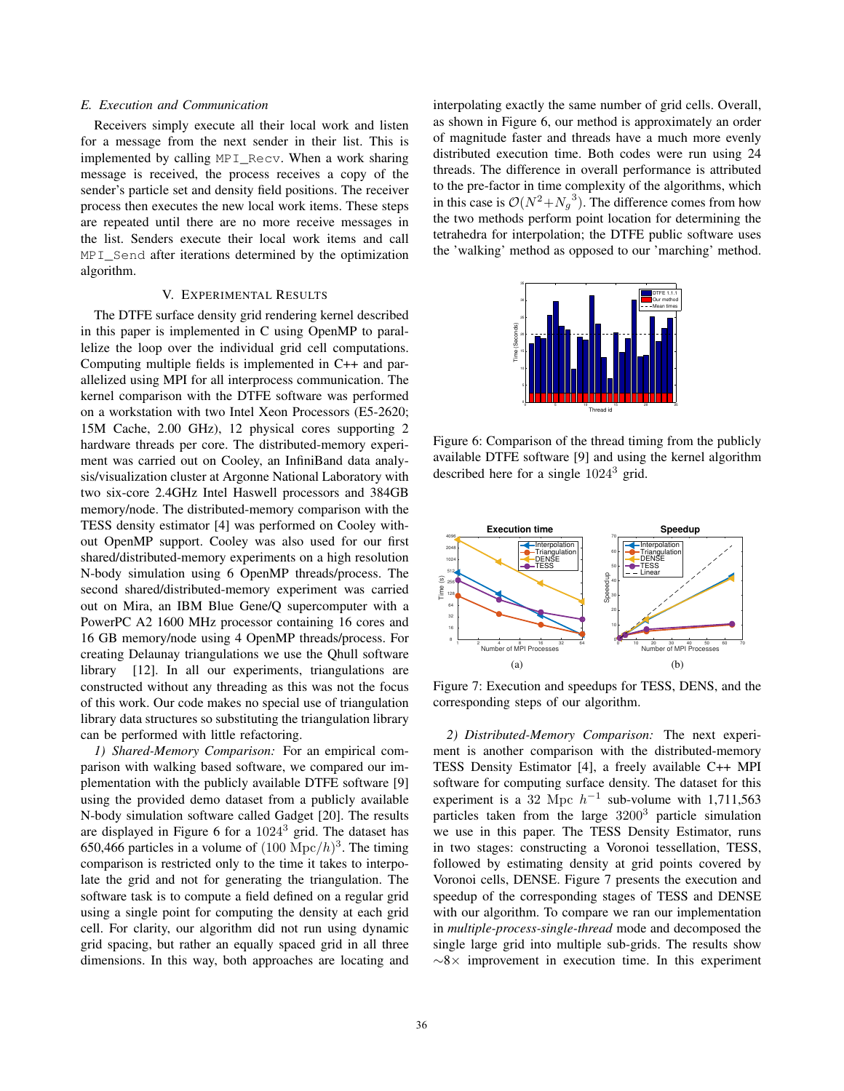### *E. Execution and Communication*

Receivers simply execute all their local work and listen for a message from the next sender in their list. This is implemented by calling MPI\_Recv. When a work sharing message is received, the process receives a copy of the sender's particle set and density field positions. The receiver process then executes the new local work items. These steps are repeated until there are no more receive messages in the list. Senders execute their local work items and call MPI Send after iterations determined by the optimization algorithm.

### V. EXPERIMENTAL RESULTS

The DTFE surface density grid rendering kernel described in this paper is implemented in C using OpenMP to parallelize the loop over the individual grid cell computations. Computing multiple fields is implemented in C++ and parallelized using MPI for all interprocess communication. The kernel comparison with the DTFE software was performed on a workstation with two Intel Xeon Processors (E5-2620; 15M Cache, 2.00 GHz), 12 physical cores supporting 2 hardware threads per core. The distributed-memory experiment was carried out on Cooley, an InfiniBand data analysis/visualization cluster at Argonne National Laboratory with two six-core 2.4GHz Intel Haswell processors and 384GB memory/node. The distributed-memory comparison with the TESS density estimator [4] was performed on Cooley without OpenMP support. Cooley was also used for our first shared/distributed-memory experiments on a high resolution N-body simulation using 6 OpenMP threads/process. The second shared/distributed-memory experiment was carried out on Mira, an IBM Blue Gene/Q supercomputer with a PowerPC A2 1600 MHz processor containing 16 cores and 16 GB memory/node using 4 OpenMP threads/process. For creating Delaunay triangulations we use the Qhull software library [12]. In all our experiments, triangulations are constructed without any threading as this was not the focus of this work. Our code makes no special use of triangulation library data structures so substituting the triangulation library can be performed with little refactoring.

*1) Shared-Memory Comparison:* For an empirical comparison with walking based software, we compared our implementation with the publicly available DTFE software [9] using the provided demo dataset from a publicly available N-body simulation software called Gadget [20]. The results are displayed in Figure 6 for a 1024<sup>3</sup> grid. The dataset has 650,466 particles in a volume of  $(100 \text{ Mpc}/h)^3$ . The timing comparison is restricted only to the time it takes to interpolate the grid and not for generating the triangulation. The software task is to compute a field defined on a regular grid using a single point for computing the density at each grid cell. For clarity, our algorithm did not run using dynamic grid spacing, but rather an equally spaced grid in all three dimensions. In this way, both approaches are locating and interpolating exactly the same number of grid cells. Overall, as shown in Figure 6, our method is approximately an order of magnitude faster and threads have a much more evenly distributed execution time. Both codes were run using 24 threads. The difference in overall performance is attributed to the pre-factor in time complexity of the algorithms, which in this case is  $O(N^2 + N_g^3)$ . The difference comes from how the two methods perform point location for determining the tetrahedra for interpolation; the DTFE public software uses the 'walking' method as opposed to our 'marching' method.



Figure 6: Comparison of the thread timing from the publicly available DTFE software [9] and using the kernel algorithm described here for a single 1024<sup>3</sup> grid.



Figure 7: Execution and speedups for TESS, DENS, and the corresponding steps of our algorithm.

*2) Distributed-Memory Comparison:* The next experiment is another comparison with the distributed-memory TESS Density Estimator [4], a freely available C++ MPI software for computing surface density. The dataset for this experiment is a 32 Mpc  $h^{-1}$  sub-volume with 1,711,563 particles taken from the large 3200<sup>3</sup> particle simulation we use in this paper. The TESS Density Estimator, runs in two stages: constructing a Voronoi tessellation, TESS, followed by estimating density at grid points covered by Voronoi cells, DENSE. Figure 7 presents the execution and speedup of the corresponding stages of TESS and DENSE with our algorithm. To compare we ran our implementation in *multiple-process-single-thread* mode and decomposed the single large grid into multiple sub-grids. The results show  $~\sim 8\times$  improvement in execution time. In this experiment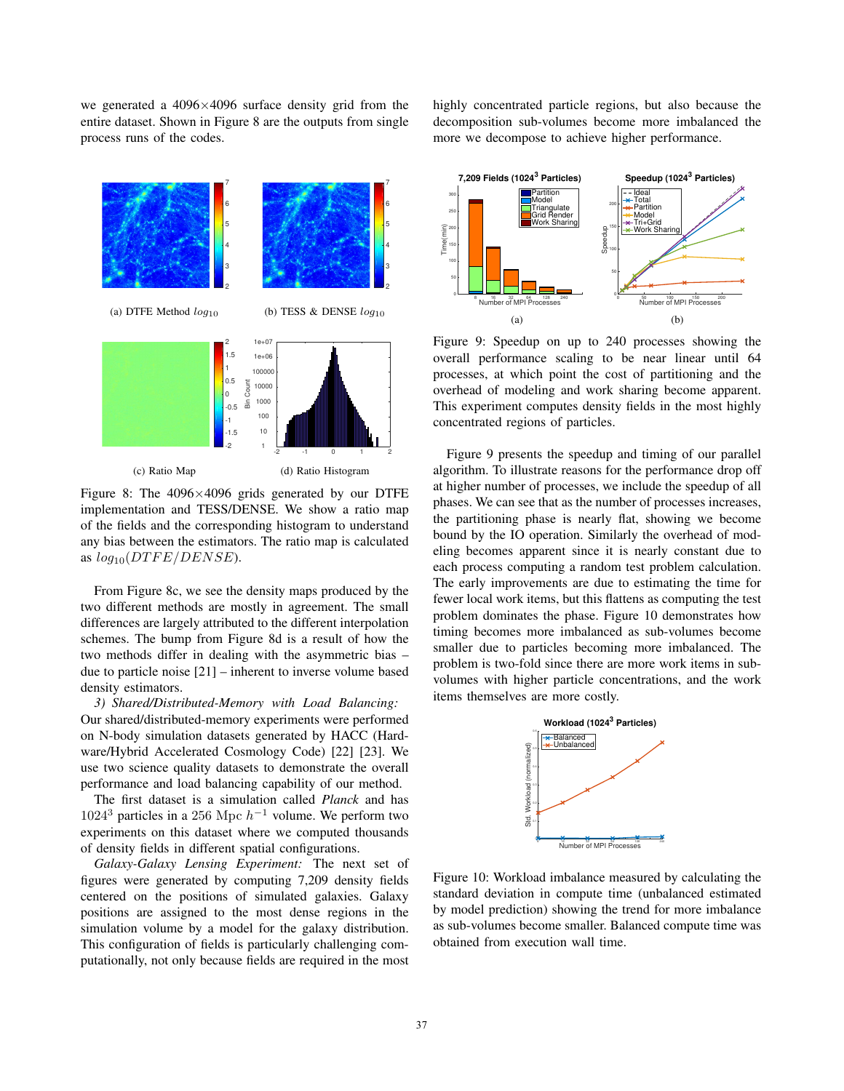we generated a 4096×4096 surface density grid from the entire dataset. Shown in Figure 8 are the outputs from single process runs of the codes.



Figure 8: The  $4096\times4096$  grids generated by our DTFE implementation and TESS/DENSE. We show a ratio map of the fields and the corresponding histogram to understand any bias between the estimators. The ratio map is calculated as  $log_{10}(DTFE/DENSE)$ .

From Figure 8c, we see the density maps produced by the two different methods are mostly in agreement. The small differences are largely attributed to the different interpolation schemes. The bump from Figure 8d is a result of how the two methods differ in dealing with the asymmetric bias – due to particle noise [21] – inherent to inverse volume based density estimators.

*3) Shared/Distributed-Memory with Load Balancing:* Our shared/distributed-memory experiments were performed on N-body simulation datasets generated by HACC (Hardware/Hybrid Accelerated Cosmology Code) [22] [23]. We use two science quality datasets to demonstrate the overall performance and load balancing capability of our method.

The first dataset is a simulation called *Planck* and has 1024<sup>3</sup> particles in a 256 Mpc  $h^{-1}$  volume. We perform two experiments on this dataset where we computed thousands of density fields in different spatial configurations.

*Galaxy-Galaxy Lensing Experiment:* The next set of figures were generated by computing 7,209 density fields centered on the positions of simulated galaxies. Galaxy positions are assigned to the most dense regions in the simulation volume by a model for the galaxy distribution. This configuration of fields is particularly challenging computationally, not only because fields are required in the most highly concentrated particle regions, but also because the decomposition sub-volumes become more imbalanced the more we decompose to achieve higher performance.



Figure 9: Speedup on up to 240 processes showing the overall performance scaling to be near linear until 64 processes, at which point the cost of partitioning and the overhead of modeling and work sharing become apparent. This experiment computes density fields in the most highly concentrated regions of particles.

Figure 9 presents the speedup and timing of our parallel algorithm. To illustrate reasons for the performance drop off at higher number of processes, we include the speedup of all phases. We can see that as the number of processes increases, the partitioning phase is nearly flat, showing we become bound by the IO operation. Similarly the overhead of modeling becomes apparent since it is nearly constant due to each process computing a random test problem calculation. The early improvements are due to estimating the time for fewer local work items, but this flattens as computing the test problem dominates the phase. Figure 10 demonstrates how timing becomes more imbalanced as sub-volumes become smaller due to particles becoming more imbalanced. The problem is two-fold since there are more work items in subvolumes with higher particle concentrations, and the work items themselves are more costly.



Figure 10: Workload imbalance measured by calculating the standard deviation in compute time (unbalanced estimated by model prediction) showing the trend for more imbalance as sub-volumes become smaller. Balanced compute time was obtained from execution wall time.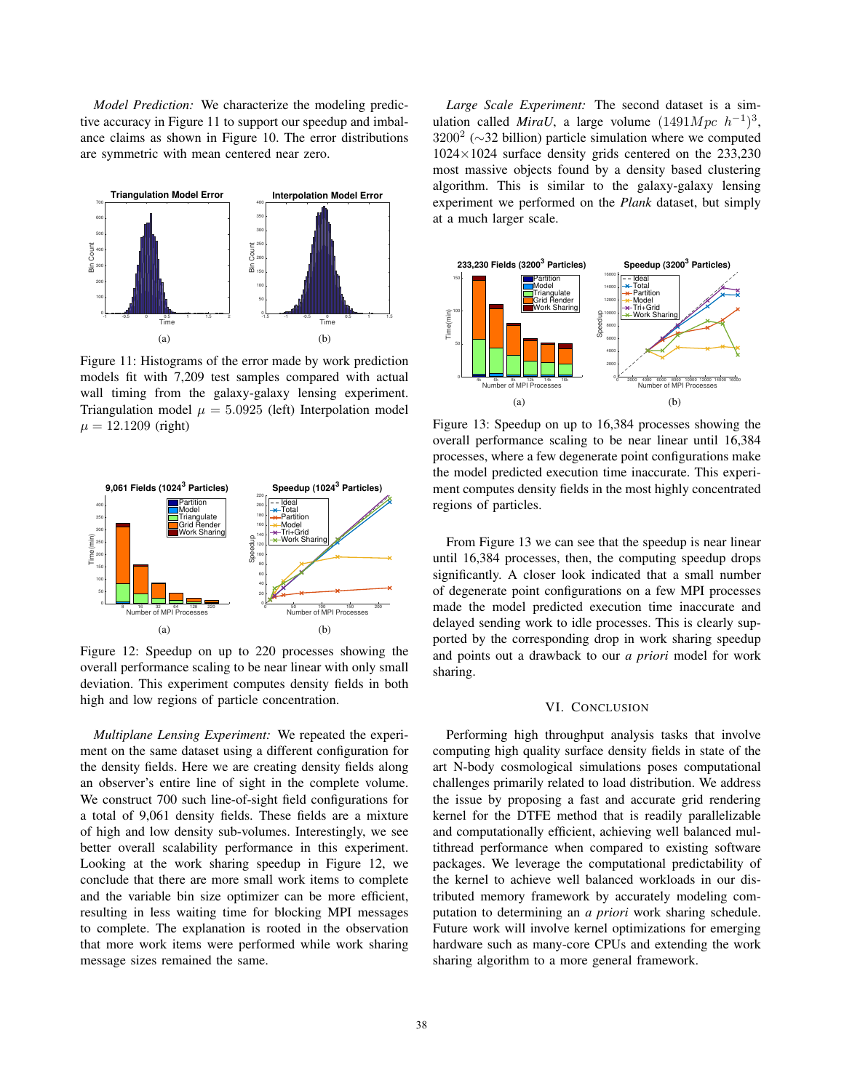*Model Prediction:* We characterize the modeling predictive accuracy in Figure 11 to support our speedup and imbalance claims as shown in Figure 10. The error distributions are symmetric with mean centered near zero.



Figure 11: Histograms of the error made by work prediction models fit with 7,209 test samples compared with actual wall timing from the galaxy-galaxy lensing experiment. Triangulation model  $\mu = 5.0925$  (left) Interpolation model  $\mu = 12.1209$  (right)



Figure 12: Speedup on up to 220 processes showing the overall performance scaling to be near linear with only small deviation. This experiment computes density fields in both high and low regions of particle concentration.

*Multiplane Lensing Experiment:* We repeated the experiment on the same dataset using a different configuration for the density fields. Here we are creating density fields along an observer's entire line of sight in the complete volume. We construct 700 such line-of-sight field configurations for a total of 9,061 density fields. These fields are a mixture of high and low density sub-volumes. Interestingly, we see better overall scalability performance in this experiment. Looking at the work sharing speedup in Figure 12, we conclude that there are more small work items to complete and the variable bin size optimizer can be more efficient, resulting in less waiting time for blocking MPI messages to complete. The explanation is rooted in the observation that more work items were performed while work sharing message sizes remained the same.

*Large Scale Experiment:* The second dataset is a simulation called *MiraU*, a large volume  $(1491Mpc h^{-1})^3$ ,  $3200^2$  ( $\sim$ 32 billion) particle simulation where we computed  $1024 \times 1024$  surface density grids centered on the 233,230 most massive objects found by a density based clustering algorithm. This is similar to the galaxy-galaxy lensing experiment we performed on the *Plank* dataset, but simply at a much larger scale.



Figure 13: Speedup on up to 16,384 processes showing the overall performance scaling to be near linear until 16,384 processes, where a few degenerate point configurations make the model predicted execution time inaccurate. This experiment computes density fields in the most highly concentrated regions of particles.

From Figure 13 we can see that the speedup is near linear until 16,384 processes, then, the computing speedup drops significantly. A closer look indicated that a small number of degenerate point configurations on a few MPI processes made the model predicted execution time inaccurate and delayed sending work to idle processes. This is clearly supported by the corresponding drop in work sharing speedup and points out a drawback to our *a priori* model for work sharing.

#### VI. CONCLUSION

Performing high throughput analysis tasks that involve computing high quality surface density fields in state of the art N-body cosmological simulations poses computational challenges primarily related to load distribution. We address the issue by proposing a fast and accurate grid rendering kernel for the DTFE method that is readily parallelizable and computationally efficient, achieving well balanced multithread performance when compared to existing software packages. We leverage the computational predictability of the kernel to achieve well balanced workloads in our distributed memory framework by accurately modeling computation to determining an *a priori* work sharing schedule. Future work will involve kernel optimizations for emerging hardware such as many-core CPUs and extending the work sharing algorithm to a more general framework.